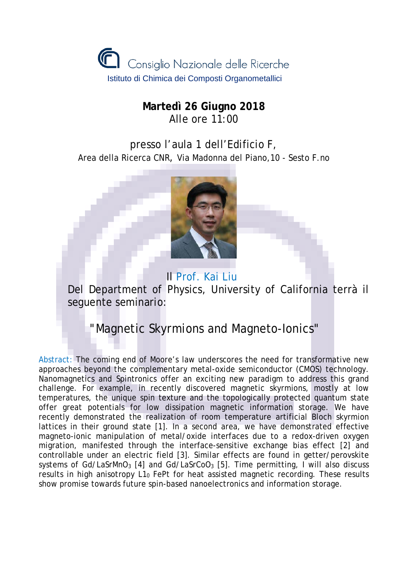

## **Martedì 26 Giugno 2018** Alle ore 11:00

presso l'aula 1 dell'Edificio F, Area della Ricerca CNR, Via Madonna del Piano,10 - Sesto F.no



 Il Prof. Kai Liu Del Department of Physics, University of California terrà il seguente seminario:

" Magnetic Skyrmions and Magneto-Ionics"

Abstract: The coming end of Moore's law underscores the need for transformative new approaches beyond the complementary metal-oxide semiconductor (CMOS) technology. Nanomagnetics and Spintronics offer an exciting new paradigm to address this grand challenge. For example, in recently discovered magnetic skyrmions, mostly at low temperatures, the unique spin texture and the topologically protected quantum state offer great potentials for low dissipation magnetic information storage. We have recently demonstrated the realization of room temperature artificial Bloch skyrmion lattices in their ground state [1]. In a second area, we have demonstrated effective magneto-ionic manipulation of metal/oxide interfaces due to a redox-driven oxygen migration, manifested through the interface-sensitive exchange bias effect [2] and controllable under an electric field [3]. Similar effects are found in getter/perovskite systems of Gd/LaSrMnO<sub>3</sub> [4] and Gd/LaSrCoO<sub>3</sub> [5]. Time permitting, I will also discuss results in high anisotropy  $L1_0$  FePt for heat assisted magnetic recording. These results show promise towards future spin-based nanoelectronics and information storage.